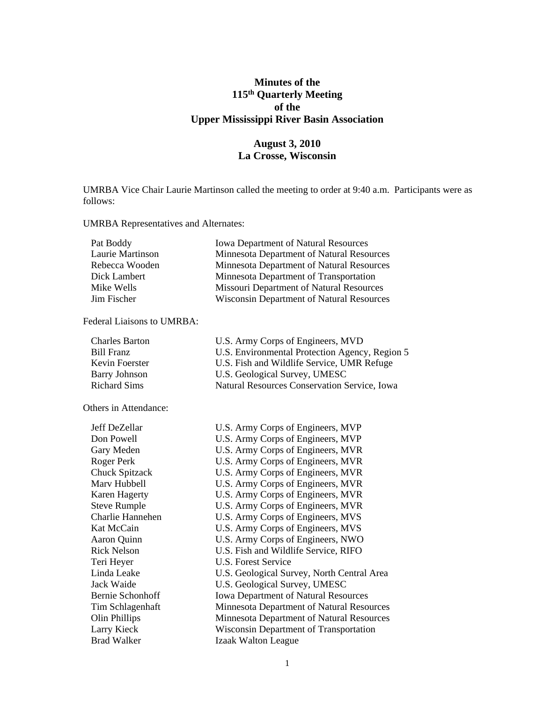# **Minutes of the 115th Quarterly Meeting of the Upper Mississippi River Basin Association**

# **August 3, 2010 La Crosse, Wisconsin**

UMRBA Vice Chair Laurie Martinson called the meeting to order at 9:40 a.m. Participants were as follows:

UMRBA Representatives and Alternates:

| Pat Boddy        | <b>Iowa Department of Natural Resources</b>      |
|------------------|--------------------------------------------------|
| Laurie Martinson | Minnesota Department of Natural Resources        |
| Rebecca Wooden   | Minnesota Department of Natural Resources        |
| Dick Lambert     | Minnesota Department of Transportation           |
| Mike Wells       | Missouri Department of Natural Resources         |
| Jim Fischer      | <b>Wisconsin Department of Natural Resources</b> |

Federal Liaisons to UMRBA:

| <b>Charles Barton</b> | U.S. Army Corps of Engineers, MVD              |
|-----------------------|------------------------------------------------|
| Bill Franz            | U.S. Environmental Protection Agency, Region 5 |
| Kevin Foerster        | U.S. Fish and Wildlife Service, UMR Refuge     |
| <b>Barry Johnson</b>  | U.S. Geological Survey, UMESC                  |
| <b>Richard Sims</b>   | Natural Resources Conservation Service, Iowa   |

Others in Attendance:

| Jeff DeZellar         | U.S. Army Corps of Engineers, MVP           |
|-----------------------|---------------------------------------------|
| Don Powell            | U.S. Army Corps of Engineers, MVP           |
| Gary Meden            | U.S. Army Corps of Engineers, MVR           |
| Roger Perk            | U.S. Army Corps of Engineers, MVR           |
| <b>Chuck Spitzack</b> | U.S. Army Corps of Engineers, MVR           |
| Marv Hubbell          | U.S. Army Corps of Engineers, MVR           |
| <b>Karen Hagerty</b>  | U.S. Army Corps of Engineers, MVR           |
| <b>Steve Rumple</b>   | U.S. Army Corps of Engineers, MVR           |
| Charlie Hannehen      | U.S. Army Corps of Engineers, MVS           |
| Kat McCain            | U.S. Army Corps of Engineers, MVS           |
| Aaron Quinn           | U.S. Army Corps of Engineers, NWO           |
| <b>Rick Nelson</b>    | U.S. Fish and Wildlife Service, RIFO        |
| Teri Heyer            | U.S. Forest Service                         |
| Linda Leake           | U.S. Geological Survey, North Central Area  |
| Jack Waide            | U.S. Geological Survey, UMESC               |
| Bernie Schonhoff      | <b>Iowa Department of Natural Resources</b> |
| Tim Schlagenhaft      | Minnesota Department of Natural Resources   |
| Olin Phillips         | Minnesota Department of Natural Resources   |
| Larry Kieck           | Wisconsin Department of Transportation      |
| <b>Brad Walker</b>    | <b>Izaak Walton League</b>                  |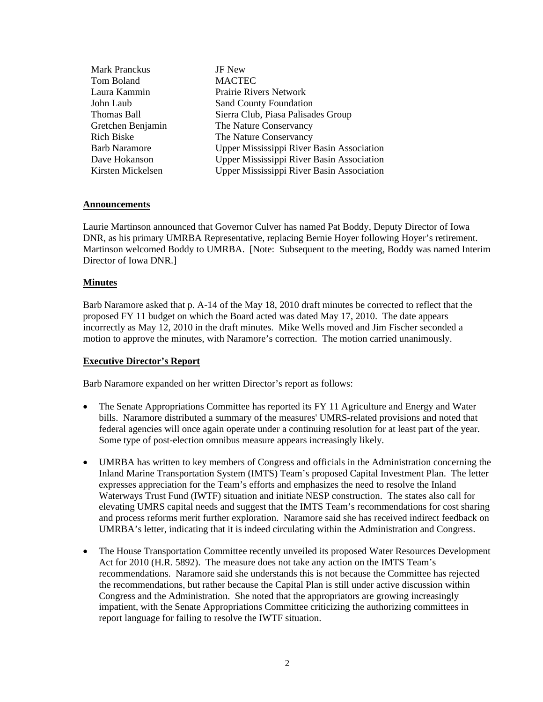| <b>Mark Pranckus</b> | JF New                                    |
|----------------------|-------------------------------------------|
| Tom Boland           | <b>MACTEC</b>                             |
| Laura Kammin         | <b>Prairie Rivers Network</b>             |
| John Laub            | <b>Sand County Foundation</b>             |
| Thomas Ball          | Sierra Club, Piasa Palisades Group        |
| Gretchen Benjamin    | The Nature Conservancy                    |
| <b>Rich Biske</b>    | The Nature Conservancy                    |
| <b>Barb Naramore</b> | Upper Mississippi River Basin Association |
| Dave Hokanson        | Upper Mississippi River Basin Association |
| Kirsten Mickelsen    | Upper Mississippi River Basin Association |
|                      |                                           |

#### **Announcements**

Laurie Martinson announced that Governor Culver has named Pat Boddy, Deputy Director of Iowa DNR, as his primary UMRBA Representative, replacing Bernie Hoyer following Hoyer's retirement. Martinson welcomed Boddy to UMRBA. [Note: Subsequent to the meeting, Boddy was named Interim Director of Iowa DNR.]

#### **Minutes**

Barb Naramore asked that p. A-14 of the May 18, 2010 draft minutes be corrected to reflect that the proposed FY 11 budget on which the Board acted was dated May 17, 2010. The date appears incorrectly as May 12, 2010 in the draft minutes. Mike Wells moved and Jim Fischer seconded a motion to approve the minutes, with Naramore's correction. The motion carried unanimously.

### **Executive Director's Report**

Barb Naramore expanded on her written Director's report as follows:

- The Senate Appropriations Committee has reported its FY 11 Agriculture and Energy and Water bills. Naramore distributed a summary of the measures' UMRS-related provisions and noted that federal agencies will once again operate under a continuing resolution for at least part of the year. Some type of post-election omnibus measure appears increasingly likely.
- UMRBA has written to key members of Congress and officials in the Administration concerning the Inland Marine Transportation System (IMTS) Team's proposed Capital Investment Plan. The letter expresses appreciation for the Team's efforts and emphasizes the need to resolve the Inland Waterways Trust Fund (IWTF) situation and initiate NESP construction. The states also call for elevating UMRS capital needs and suggest that the IMTS Team's recommendations for cost sharing and process reforms merit further exploration. Naramore said she has received indirect feedback on UMRBA's letter, indicating that it is indeed circulating within the Administration and Congress.
- The House Transportation Committee recently unveiled its proposed Water Resources Development Act for 2010 (H.R. 5892). The measure does not take any action on the IMTS Team's recommendations. Naramore said she understands this is not because the Committee has rejected the recommendations, but rather because the Capital Plan is still under active discussion within Congress and the Administration. She noted that the appropriators are growing increasingly impatient, with the Senate Appropriations Committee criticizing the authorizing committees in report language for failing to resolve the IWTF situation.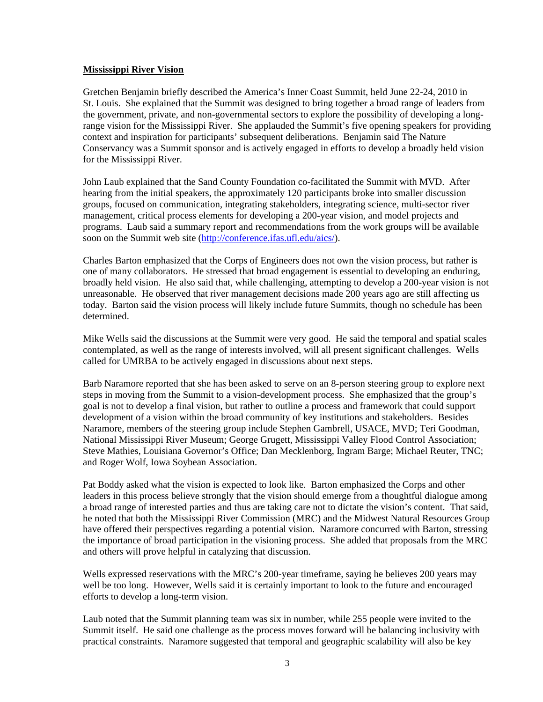#### **Mississippi River Vision**

Gretchen Benjamin briefly described the America's Inner Coast Summit, held June 22-24, 2010 in St. Louis. She explained that the Summit was designed to bring together a broad range of leaders from the government, private, and non-governmental sectors to explore the possibility of developing a longrange vision for the Mississippi River. She applauded the Summit's five opening speakers for providing context and inspiration for participants' subsequent deliberations. Benjamin said The Nature Conservancy was a Summit sponsor and is actively engaged in efforts to develop a broadly held vision for the Mississippi River.

John Laub explained that the Sand County Foundation co-facilitated the Summit with MVD. After hearing from the initial speakers, the approximately 120 participants broke into smaller discussion groups, focused on communication, integrating stakeholders, integrating science, multi-sector river management, critical process elements for developing a 200-year vision, and model projects and programs. Laub said a summary report and recommendations from the work groups will be available soon on the Summit web site [\(http://conference.ifas.ufl.edu/aics/\)](http://conference.ifas.ufl.edu/aics/).

Charles Barton emphasized that the Corps of Engineers does not own the vision process, but rather is one of many collaborators. He stressed that broad engagement is essential to developing an enduring, broadly held vision. He also said that, while challenging, attempting to develop a 200-year vision is not unreasonable. He observed that river management decisions made 200 years ago are still affecting us today. Barton said the vision process will likely include future Summits, though no schedule has been determined.

Mike Wells said the discussions at the Summit were very good. He said the temporal and spatial scales contemplated, as well as the range of interests involved, will all present significant challenges. Wells called for UMRBA to be actively engaged in discussions about next steps.

Barb Naramore reported that she has been asked to serve on an 8-person steering group to explore next steps in moving from the Summit to a vision-development process. She emphasized that the group's goal is not to develop a final vision, but rather to outline a process and framework that could support development of a vision within the broad community of key institutions and stakeholders. Besides Naramore, members of the steering group include Stephen Gambrell, USACE, MVD; Teri Goodman, National Mississippi River Museum; George Grugett, Mississippi Valley Flood Control Association; Steve Mathies, Louisiana Governor's Office; Dan Mecklenborg, Ingram Barge; Michael Reuter, TNC; and Roger Wolf, Iowa Soybean Association.

Pat Boddy asked what the vision is expected to look like. Barton emphasized the Corps and other leaders in this process believe strongly that the vision should emerge from a thoughtful dialogue among a broad range of interested parties and thus are taking care not to dictate the vision's content. That said, he noted that both the Mississippi River Commission (MRC) and the Midwest Natural Resources Group have offered their perspectives regarding a potential vision. Naramore concurred with Barton, stressing the importance of broad participation in the visioning process. She added that proposals from the MRC and others will prove helpful in catalyzing that discussion.

Wells expressed reservations with the MRC's 200-year timeframe, saying he believes 200 years may well be too long. However, Wells said it is certainly important to look to the future and encouraged efforts to develop a long-term vision.

Laub noted that the Summit planning team was six in number, while 255 people were invited to the Summit itself. He said one challenge as the process moves forward will be balancing inclusivity with practical constraints. Naramore suggested that temporal and geographic scalability will also be key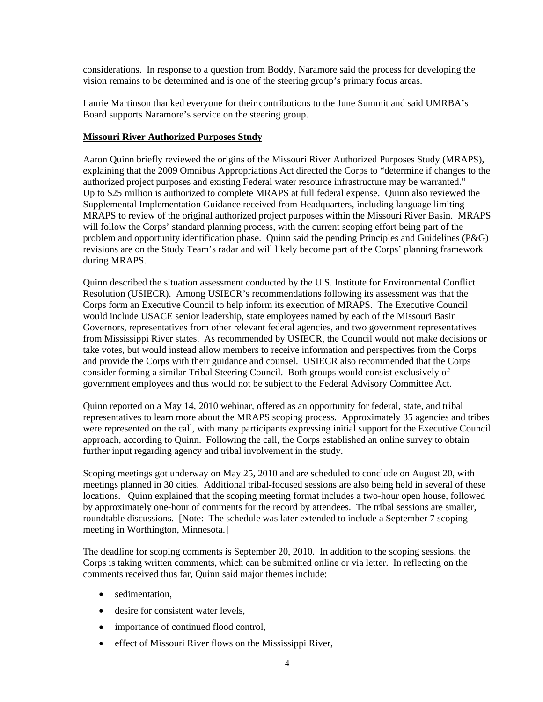considerations. In response to a question from Boddy, Naramore said the process for developing the vision remains to be determined and is one of the steering group's primary focus areas.

Laurie Martinson thanked everyone for their contributions to the June Summit and said UMRBA's Board supports Naramore's service on the steering group.

#### **Missouri River Authorized Purposes Study**

Aaron Quinn briefly reviewed the origins of the Missouri River Authorized Purposes Study (MRAPS), explaining that the 2009 Omnibus Appropriations Act directed the Corps to "determine if changes to the authorized project purposes and existing Federal water resource infrastructure may be warranted." Up to \$25 million is authorized to complete MRAPS at full federal expense. Quinn also reviewed the Supplemental Implementation Guidance received from Headquarters, including language limiting MRAPS to review of the original authorized project purposes within the Missouri River Basin. MRAPS will follow the Corps' standard planning process, with the current scoping effort being part of the problem and opportunity identification phase. Quinn said the pending Principles and Guidelines (P&G) revisions are on the Study Team's radar and will likely become part of the Corps' planning framework during MRAPS.

Quinn described the situation assessment conducted by the U.S. Institute for Environmental Conflict Resolution (USIECR). Among USIECR's recommendations following its assessment was that the Corps form an Executive Council to help inform its execution of MRAPS. The Executive Council would include USACE senior leadership, state employees named by each of the Missouri Basin Governors, representatives from other relevant federal agencies, and two government representatives from Mississippi River states. As recommended by USIECR, the Council would not make decisions or take votes, but would instead allow members to receive information and perspectives from the Corps and provide the Corps with their guidance and counsel. USIECR also recommended that the Corps consider forming a similar Tribal Steering Council. Both groups would consist exclusively of government employees and thus would not be subject to the Federal Advisory Committee Act.

Quinn reported on a May 14, 2010 webinar, offered as an opportunity for federal, state, and tribal representatives to learn more about the MRAPS scoping process. Approximately 35 agencies and tribes were represented on the call, with many participants expressing initial support for the Executive Council approach, according to Quinn. Following the call, the Corps established an online survey to obtain further input regarding agency and tribal involvement in the study.

Scoping meetings got underway on May 25, 2010 and are scheduled to conclude on August 20, with meetings planned in 30 cities. Additional tribal-focused sessions are also being held in several of these locations. Quinn explained that the scoping meeting format includes a two-hour open house, followed by approximately one-hour of comments for the record by attendees. The tribal sessions are smaller, roundtable discussions. [Note: The schedule was later extended to include a September 7 scoping meeting in Worthington, Minnesota.]

The deadline for scoping comments is September 20, 2010. In addition to the scoping sessions, the Corps is taking written comments, which can be submitted online or via letter. In reflecting on the comments received thus far, Quinn said major themes include:

- sedimentation.
- desire for consistent water levels,
- importance of continued flood control,
- effect of Missouri River flows on the Mississippi River,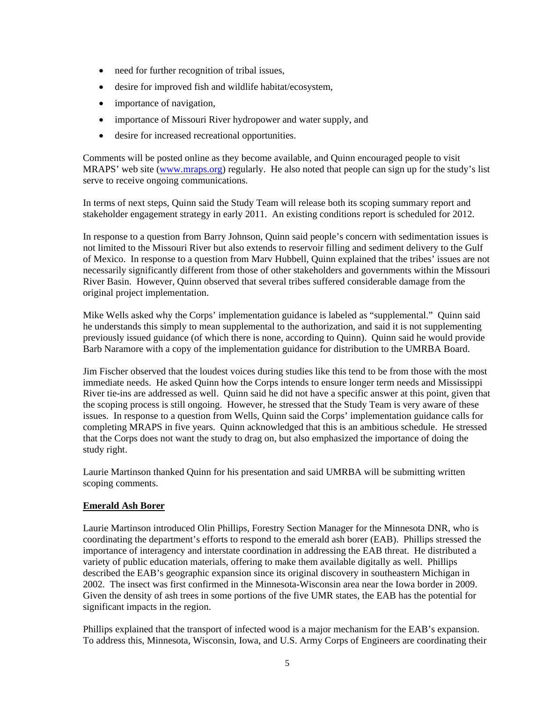- need for further recognition of tribal issues,
- desire for improved fish and wildlife habitat/ecosystem,
- importance of navigation,
- importance of Missouri River hydropower and water supply, and
- desire for increased recreational opportunities.

Comments will be posted online as they become available, and Quinn encouraged people to visit MRAPS' web site [\(www.mraps.org\)](http://www.mraps.org/) regularly. He also noted that people can sign up for the study's list serve to receive ongoing communications.

In terms of next steps, Quinn said the Study Team will release both its scoping summary report and stakeholder engagement strategy in early 2011. An existing conditions report is scheduled for 2012.

In response to a question from Barry Johnson, Quinn said people's concern with sedimentation issues is not limited to the Missouri River but also extends to reservoir filling and sediment delivery to the Gulf of Mexico. In response to a question from Marv Hubbell, Quinn explained that the tribes' issues are not necessarily significantly different from those of other stakeholders and governments within the Missouri River Basin. However, Quinn observed that several tribes suffered considerable damage from the original project implementation.

Mike Wells asked why the Corps' implementation guidance is labeled as "supplemental." Quinn said he understands this simply to mean supplemental to the authorization, and said it is not supplementing previously issued guidance (of which there is none, according to Quinn). Quinn said he would provide Barb Naramore with a copy of the implementation guidance for distribution to the UMRBA Board.

Jim Fischer observed that the loudest voices during studies like this tend to be from those with the most immediate needs. He asked Quinn how the Corps intends to ensure longer term needs and Mississippi River tie-ins are addressed as well. Quinn said he did not have a specific answer at this point, given that the scoping process is still ongoing. However, he stressed that the Study Team is very aware of these issues. In response to a question from Wells, Quinn said the Corps' implementation guidance calls for completing MRAPS in five years. Quinn acknowledged that this is an ambitious schedule. He stressed that the Corps does not want the study to drag on, but also emphasized the importance of doing the study right.

Laurie Martinson thanked Quinn for his presentation and said UMRBA will be submitting written scoping comments.

### **Emerald Ash Borer**

Laurie Martinson introduced Olin Phillips, Forestry Section Manager for the Minnesota DNR, who is coordinating the department's efforts to respond to the emerald ash borer (EAB). Phillips stressed the importance of interagency and interstate coordination in addressing the EAB threat. He distributed a variety of public education materials, offering to make them available digitally as well. Phillips described the EAB's geographic expansion since its original discovery in southeastern Michigan in 2002. The insect was first confirmed in the Minnesota-Wisconsin area near the Iowa border in 2009. Given the density of ash trees in some portions of the five UMR states, the EAB has the potential for significant impacts in the region.

Phillips explained that the transport of infected wood is a major mechanism for the EAB's expansion. To address this, Minnesota, Wisconsin, Iowa, and U.S. Army Corps of Engineers are coordinating their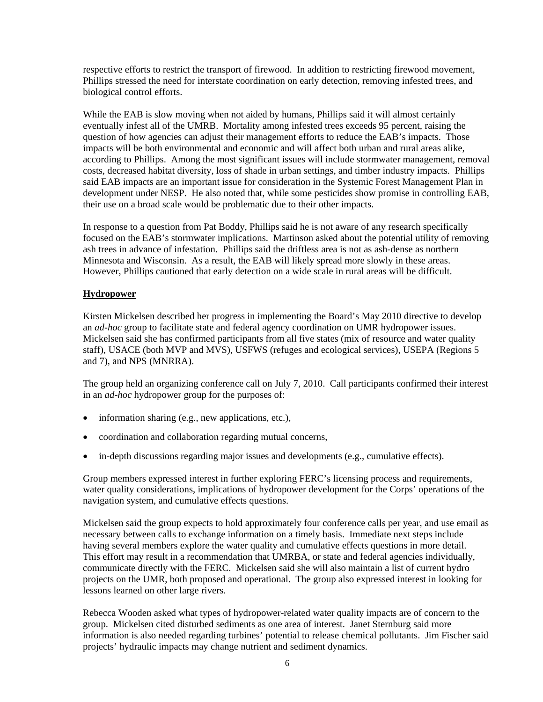respective efforts to restrict the transport of firewood. In addition to restricting firewood movement, Phillips stressed the need for interstate coordination on early detection, removing infested trees, and biological control efforts.

While the EAB is slow moving when not aided by humans, Phillips said it will almost certainly eventually infest all of the UMRB. Mortality among infested trees exceeds 95 percent, raising the question of how agencies can adjust their management efforts to reduce the EAB's impacts. Those impacts will be both environmental and economic and will affect both urban and rural areas alike, according to Phillips. Among the most significant issues will include stormwater management, removal costs, decreased habitat diversity, loss of shade in urban settings, and timber industry impacts. Phillips said EAB impacts are an important issue for consideration in the Systemic Forest Management Plan in development under NESP. He also noted that, while some pesticides show promise in controlling EAB, their use on a broad scale would be problematic due to their other impacts.

In response to a question from Pat Boddy, Phillips said he is not aware of any research specifically focused on the EAB's stormwater implications. Martinson asked about the potential utility of removing ash trees in advance of infestation. Phillips said the driftless area is not as ash-dense as northern Minnesota and Wisconsin. As a result, the EAB will likely spread more slowly in these areas. However, Phillips cautioned that early detection on a wide scale in rural areas will be difficult.

### **Hydropower**

Kirsten Mickelsen described her progress in implementing the Board's May 2010 directive to develop an *ad-hoc* group to facilitate state and federal agency coordination on UMR hydropower issues. Mickelsen said she has confirmed participants from all five states (mix of resource and water quality staff), USACE (both MVP and MVS), USFWS (refuges and ecological services), USEPA (Regions 5 and 7), and NPS (MNRRA).

The group held an organizing conference call on July 7, 2010. Call participants confirmed their interest in an *ad-hoc* hydropower group for the purposes of:

- information sharing (e.g., new applications, etc.),
- coordination and collaboration regarding mutual concerns,
- in-depth discussions regarding major issues and developments (e.g., cumulative effects).

Group members expressed interest in further exploring FERC's licensing process and requirements, water quality considerations, implications of hydropower development for the Corps' operations of the navigation system, and cumulative effects questions.

Mickelsen said the group expects to hold approximately four conference calls per year, and use email as necessary between calls to exchange information on a timely basis. Immediate next steps include having several members explore the water quality and cumulative effects questions in more detail. This effort may result in a recommendation that UMRBA, or state and federal agencies individually, communicate directly with the FERC. Mickelsen said she will also maintain a list of current hydro projects on the UMR, both proposed and operational. The group also expressed interest in looking for lessons learned on other large rivers.

Rebecca Wooden asked what types of hydropower-related water quality impacts are of concern to the group. Mickelsen cited disturbed sediments as one area of interest. Janet Sternburg said more information is also needed regarding turbines' potential to release chemical pollutants. Jim Fischer said projects' hydraulic impacts may change nutrient and sediment dynamics.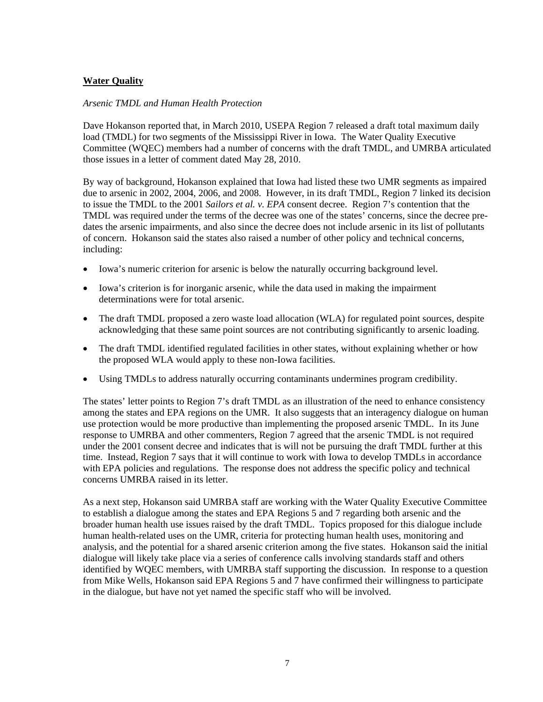# **Water Quality**

#### *Arsenic TMDL and Human Health Protection*

Dave Hokanson reported that, in March 2010, USEPA Region 7 released a draft total maximum daily load (TMDL) for two segments of the Mississippi River in Iowa. The Water Quality Executive Committee (WQEC) members had a number of concerns with the draft TMDL, and UMRBA articulated those issues in a letter of comment dated May 28, 2010.

By way of background, Hokanson explained that Iowa had listed these two UMR segments as impaired due to arsenic in 2002, 2004, 2006, and 2008. However, in its draft TMDL, Region 7 linked its decision to issue the TMDL to the 2001 *Sailors et al. v. EPA* consent decree. Region 7's contention that the TMDL was required under the terms of the decree was one of the states' concerns, since the decree predates the arsenic impairments, and also since the decree does not include arsenic in its list of pollutants of concern. Hokanson said the states also raised a number of other policy and technical concerns, including:

- Iowa's numeric criterion for arsenic is below the naturally occurring background level.
- Iowa's criterion is for inorganic arsenic, while the data used in making the impairment determinations were for total arsenic.
- The draft TMDL proposed a zero waste load allocation (WLA) for regulated point sources, despite acknowledging that these same point sources are not contributing significantly to arsenic loading.
- The draft TMDL identified regulated facilities in other states, without explaining whether or how the proposed WLA would apply to these non-Iowa facilities.
- Using TMDLs to address naturally occurring contaminants undermines program credibility.

The states' letter points to Region 7's draft TMDL as an illustration of the need to enhance consistency among the states and EPA regions on the UMR. It also suggests that an interagency dialogue on human use protection would be more productive than implementing the proposed arsenic TMDL. In its June response to UMRBA and other commenters, Region 7 agreed that the arsenic TMDL is not required under the 2001 consent decree and indicates that is will not be pursuing the draft TMDL further at this time. Instead, Region 7 says that it will continue to work with Iowa to develop TMDLs in accordance with EPA policies and regulations. The response does not address the specific policy and technical concerns UMRBA raised in its letter.

As a next step, Hokanson said UMRBA staff are working with the Water Quality Executive Committee to establish a dialogue among the states and EPA Regions 5 and 7 regarding both arsenic and the broader human health use issues raised by the draft TMDL. Topics proposed for this dialogue include human health-related uses on the UMR, criteria for protecting human health uses, monitoring and analysis, and the potential for a shared arsenic criterion among the five states. Hokanson said the initial dialogue will likely take place via a series of conference calls involving standards staff and others identified by WQEC members, with UMRBA staff supporting the discussion. In response to a question from Mike Wells, Hokanson said EPA Regions 5 and 7 have confirmed their willingness to participate in the dialogue, but have not yet named the specific staff who will be involved.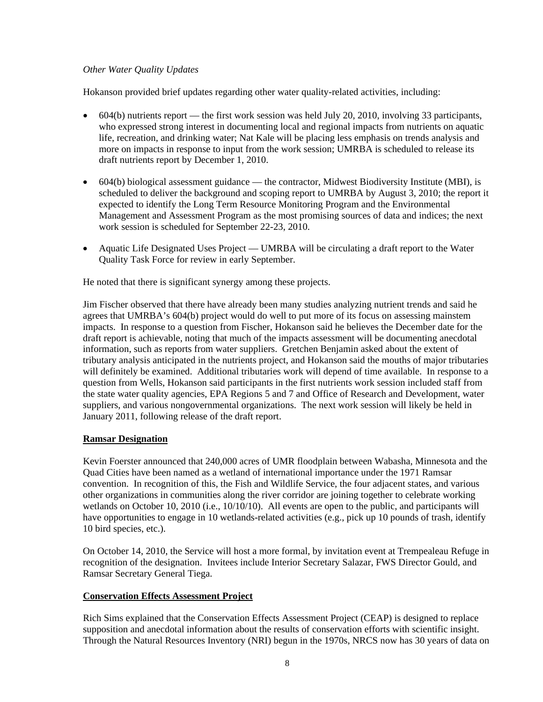# *Other Water Quality Updates*

Hokanson provided brief updates regarding other water quality-related activities, including:

- 604(b) nutrients report the first work session was held July 20, 2010, involving 33 participants, who expressed strong interest in documenting local and regional impacts from nutrients on aquatic life, recreation, and drinking water; Nat Kale will be placing less emphasis on trends analysis and more on impacts in response to input from the work session; UMRBA is scheduled to release its draft nutrients report by December 1, 2010.
- 604(b) biological assessment guidance the contractor, Midwest Biodiversity Institute (MBI), is scheduled to deliver the background and scoping report to UMRBA by August 3, 2010; the report it expected to identify the Long Term Resource Monitoring Program and the Environmental Management and Assessment Program as the most promising sources of data and indices; the next work session is scheduled for September 22-23, 2010.
- Aquatic Life Designated Uses Project UMRBA will be circulating a draft report to the Water Quality Task Force for review in early September.

He noted that there is significant synergy among these projects.

Jim Fischer observed that there have already been many studies analyzing nutrient trends and said he agrees that UMRBA's 604(b) project would do well to put more of its focus on assessing mainstem impacts. In response to a question from Fischer, Hokanson said he believes the December date for the draft report is achievable, noting that much of the impacts assessment will be documenting anecdotal information, such as reports from water suppliers. Gretchen Benjamin asked about the extent of tributary analysis anticipated in the nutrients project, and Hokanson said the mouths of major tributaries will definitely be examined. Additional tributaries work will depend of time available. In response to a question from Wells, Hokanson said participants in the first nutrients work session included staff from the state water quality agencies, EPA Regions 5 and 7 and Office of Research and Development, water suppliers, and various nongovernmental organizations. The next work session will likely be held in January 2011, following release of the draft report.

# **Ramsar Designation**

Kevin Foerster announced that 240,000 acres of UMR floodplain between Wabasha, Minnesota and the Quad Cities have been named as a wetland of international importance under the 1971 Ramsar convention. In recognition of this, the Fish and Wildlife Service, the four adjacent states, and various other organizations in communities along the river corridor are joining together to celebrate working wetlands on October 10, 2010 (i.e., 10/10/10). All events are open to the public, and participants will have opportunities to engage in 10 wetlands-related activities (e.g., pick up 10 pounds of trash, identify 10 bird species, etc.).

On October 14, 2010, the Service will host a more formal, by invitation event at Trempealeau Refuge in recognition of the designation. Invitees include Interior Secretary Salazar, FWS Director Gould, and Ramsar Secretary General Tiega.

### **Conservation Effects Assessment Project**

Rich Sims explained that the Conservation Effects Assessment Project (CEAP) is designed to replace supposition and anecdotal information about the results of conservation efforts with scientific insight. Through the Natural Resources Inventory (NRI) begun in the 1970s, NRCS now has 30 years of data on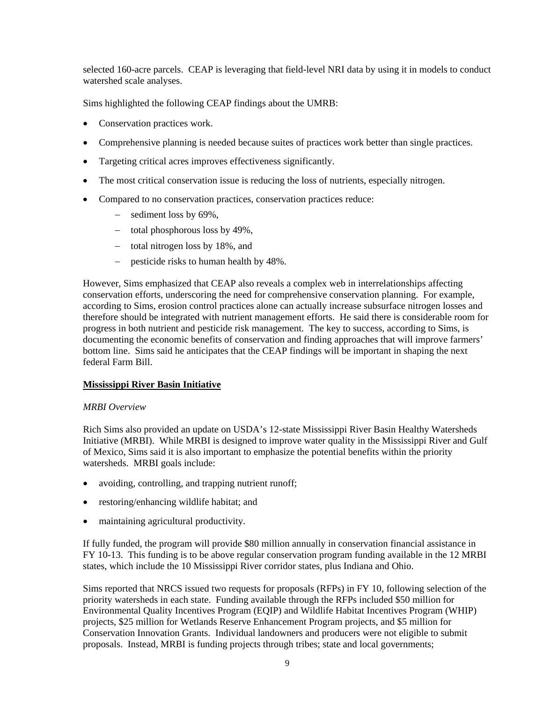selected 160-acre parcels. CEAP is leveraging that field-level NRI data by using it in models to conduct watershed scale analyses.

Sims highlighted the following CEAP findings about the UMRB:

- Conservation practices work.
- Comprehensive planning is needed because suites of practices work better than single practices.
- Targeting critical acres improves effectiveness significantly.
- The most critical conservation issue is reducing the loss of nutrients, especially nitrogen.
- Compared to no conservation practices, conservation practices reduce:
	- − sediment loss by 69%,
	- − total phosphorous loss by 49%,
	- − total nitrogen loss by 18%, and
	- − pesticide risks to human health by 48%.

However, Sims emphasized that CEAP also reveals a complex web in interrelationships affecting conservation efforts, underscoring the need for comprehensive conservation planning. For example, according to Sims, erosion control practices alone can actually increase subsurface nitrogen losses and therefore should be integrated with nutrient management efforts. He said there is considerable room for progress in both nutrient and pesticide risk management. The key to success, according to Sims, is documenting the economic benefits of conservation and finding approaches that will improve farmers' bottom line. Sims said he anticipates that the CEAP findings will be important in shaping the next federal Farm Bill.

### **Mississippi River Basin Initiative**

### *MRBI Overview*

Rich Sims also provided an update on USDA's 12-state Mississippi River Basin Healthy Watersheds Initiative (MRBI). While MRBI is designed to improve water quality in the Mississippi River and Gulf of Mexico, Sims said it is also important to emphasize the potential benefits within the priority watersheds. MRBI goals include:

- avoiding, controlling, and trapping nutrient runoff;
- restoring/enhancing wildlife habitat; and
- maintaining agricultural productivity.

If fully funded, the program will provide \$80 million annually in conservation financial assistance in FY 10-13. This funding is to be above regular conservation program funding available in the 12 MRBI states, which include the 10 Mississippi River corridor states, plus Indiana and Ohio.

Sims reported that NRCS issued two requests for proposals (RFPs) in FY 10, following selection of the priority watersheds in each state. Funding available through the RFPs included \$50 million for Environmental Quality Incentives Program (EQIP) and Wildlife Habitat Incentives Program (WHIP) projects, \$25 million for Wetlands Reserve Enhancement Program projects, and \$5 million for Conservation Innovation Grants. Individual landowners and producers were not eligible to submit proposals. Instead, MRBI is funding projects through tribes; state and local governments;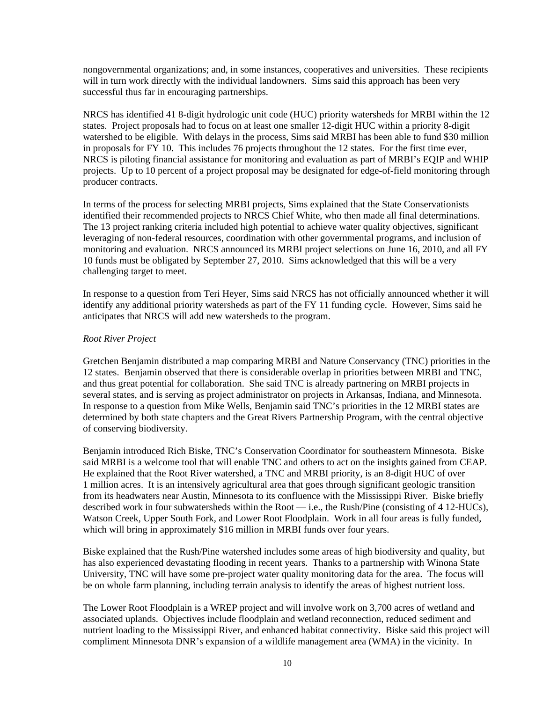nongovernmental organizations; and, in some instances, cooperatives and universities. These recipients will in turn work directly with the individual landowners. Sims said this approach has been very successful thus far in encouraging partnerships.

NRCS has identified 41 8-digit hydrologic unit code (HUC) priority watersheds for MRBI within the 12 states. Project proposals had to focus on at least one smaller 12-digit HUC within a priority 8-digit watershed to be eligible. With delays in the process, Sims said MRBI has been able to fund \$30 million in proposals for FY 10. This includes 76 projects throughout the 12 states. For the first time ever, NRCS is piloting financial assistance for monitoring and evaluation as part of MRBI's EQIP and WHIP projects. Up to 10 percent of a project proposal may be designated for edge-of-field monitoring through producer contracts.

In terms of the process for selecting MRBI projects, Sims explained that the State Conservationists identified their recommended projects to NRCS Chief White, who then made all final determinations. The 13 project ranking criteria included high potential to achieve water quality objectives, significant leveraging of non-federal resources, coordination with other governmental programs, and inclusion of monitoring and evaluation. NRCS announced its MRBI project selections on June 16, 2010, and all FY 10 funds must be obligated by September 27, 2010. Sims acknowledged that this will be a very challenging target to meet.

In response to a question from Teri Heyer, Sims said NRCS has not officially announced whether it will identify any additional priority watersheds as part of the FY 11 funding cycle. However, Sims said he anticipates that NRCS will add new watersheds to the program.

#### *Root River Project*

Gretchen Benjamin distributed a map comparing MRBI and Nature Conservancy (TNC) priorities in the 12 states. Benjamin observed that there is considerable overlap in priorities between MRBI and TNC, and thus great potential for collaboration. She said TNC is already partnering on MRBI projects in several states, and is serving as project administrator on projects in Arkansas, Indiana, and Minnesota. In response to a question from Mike Wells, Benjamin said TNC's priorities in the 12 MRBI states are determined by both state chapters and the Great Rivers Partnership Program, with the central objective of conserving biodiversity.

Benjamin introduced Rich Biske, TNC's Conservation Coordinator for southeastern Minnesota. Biske said MRBI is a welcome tool that will enable TNC and others to act on the insights gained from CEAP. He explained that the Root River watershed, a TNC and MRBI priority, is an 8-digit HUC of over 1 million acres. It is an intensively agricultural area that goes through significant geologic transition from its headwaters near Austin, Minnesota to its confluence with the Mississippi River. Biske briefly described work in four subwatersheds within the Root — i.e., the Rush/Pine (consisting of 4 12-HUCs), Watson Creek, Upper South Fork, and Lower Root Floodplain. Work in all four areas is fully funded, which will bring in approximately \$16 million in MRBI funds over four years.

Biske explained that the Rush/Pine watershed includes some areas of high biodiversity and quality, but has also experienced devastating flooding in recent years. Thanks to a partnership with Winona State University, TNC will have some pre-project water quality monitoring data for the area. The focus will be on whole farm planning, including terrain analysis to identify the areas of highest nutrient loss.

The Lower Root Floodplain is a WREP project and will involve work on 3,700 acres of wetland and associated uplands. Objectives include floodplain and wetland reconnection, reduced sediment and nutrient loading to the Mississippi River, and enhanced habitat connectivity. Biske said this project will compliment Minnesota DNR's expansion of a wildlife management area (WMA) in the vicinity. In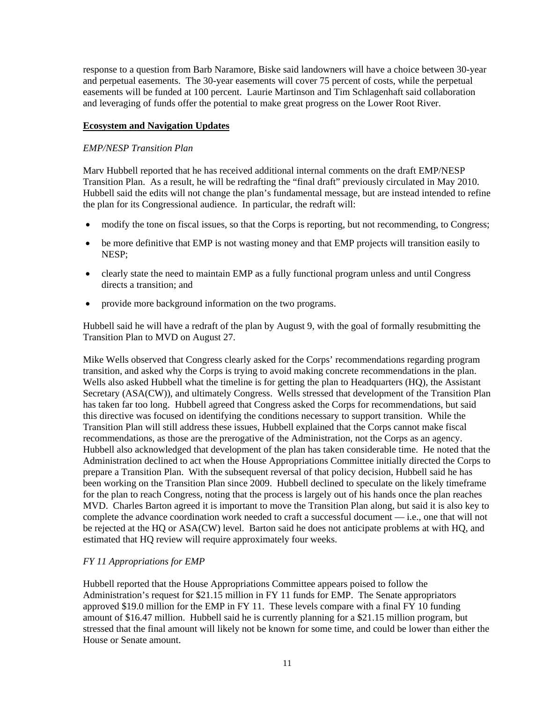response to a question from Barb Naramore, Biske said landowners will have a choice between 30-year and perpetual easements. The 30-year easements will cover 75 percent of costs, while the perpetual easements will be funded at 100 percent. Laurie Martinson and Tim Schlagenhaft said collaboration and leveraging of funds offer the potential to make great progress on the Lower Root River.

### **Ecosystem and Navigation Updates**

### *EMP/NESP Transition Plan*

Marv Hubbell reported that he has received additional internal comments on the draft EMP/NESP Transition Plan. As a result, he will be redrafting the "final draft" previously circulated in May 2010. Hubbell said the edits will not change the plan's fundamental message, but are instead intended to refine the plan for its Congressional audience. In particular, the redraft will:

- modify the tone on fiscal issues, so that the Corps is reporting, but not recommending, to Congress;
- be more definitive that EMP is not wasting money and that EMP projects will transition easily to NESP;
- clearly state the need to maintain EMP as a fully functional program unless and until Congress directs a transition; and
- provide more background information on the two programs.

Hubbell said he will have a redraft of the plan by August 9, with the goal of formally resubmitting the Transition Plan to MVD on August 27.

Mike Wells observed that Congress clearly asked for the Corps' recommendations regarding program transition, and asked why the Corps is trying to avoid making concrete recommendations in the plan. Wells also asked Hubbell what the timeline is for getting the plan to Headquarters (HQ), the Assistant Secretary (ASA(CW)), and ultimately Congress. Wells stressed that development of the Transition Plan has taken far too long. Hubbell agreed that Congress asked the Corps for recommendations, but said this directive was focused on identifying the conditions necessary to support transition. While the Transition Plan will still address these issues, Hubbell explained that the Corps cannot make fiscal recommendations, as those are the prerogative of the Administration, not the Corps as an agency. Hubbell also acknowledged that development of the plan has taken considerable time. He noted that the Administration declined to act when the House Appropriations Committee initially directed the Corps to prepare a Transition Plan. With the subsequent reversal of that policy decision, Hubbell said he has been working on the Transition Plan since 2009. Hubbell declined to speculate on the likely timeframe for the plan to reach Congress, noting that the process is largely out of his hands once the plan reaches MVD. Charles Barton agreed it is important to move the Transition Plan along, but said it is also key to complete the advance coordination work needed to craft a successful document — i.e., one that will not be rejected at the HQ or ASA(CW) level. Barton said he does not anticipate problems at with HQ, and estimated that HQ review will require approximately four weeks.

### *FY 11 Appropriations for EMP*

Hubbell reported that the House Appropriations Committee appears poised to follow the Administration's request for \$21.15 million in FY 11 funds for EMP. The Senate appropriators approved \$19.0 million for the EMP in FY 11. These levels compare with a final FY 10 funding amount of \$16.47 million. Hubbell said he is currently planning for a \$21.15 million program, but stressed that the final amount will likely not be known for some time, and could be lower than either the House or Senate amount.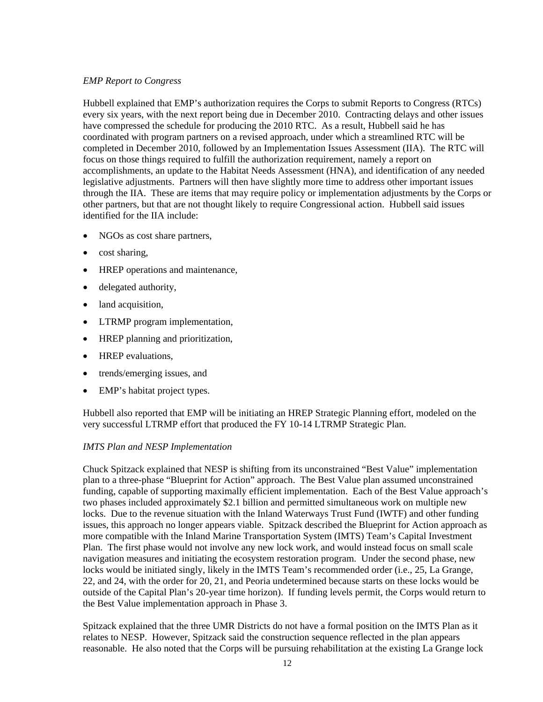## *EMP Report to Congress*

Hubbell explained that EMP's authorization requires the Corps to submit Reports to Congress (RTCs) every six years, with the next report being due in December 2010. Contracting delays and other issues have compressed the schedule for producing the 2010 RTC. As a result, Hubbell said he has coordinated with program partners on a revised approach, under which a streamlined RTC will be completed in December 2010, followed by an Implementation Issues Assessment (IIA). The RTC will focus on those things required to fulfill the authorization requirement, namely a report on accomplishments, an update to the Habitat Needs Assessment (HNA), and identification of any needed legislative adjustments. Partners will then have slightly more time to address other important issues through the IIA. These are items that may require policy or implementation adjustments by the Corps or other partners, but that are not thought likely to require Congressional action. Hubbell said issues identified for the IIA include:

- NGOs as cost share partners,
- cost sharing,
- HREP operations and maintenance,
- delegated authority,
- land acquisition,
- LTRMP program implementation,
- HREP planning and prioritization,
- HREP evaluations,
- trends/emerging issues, and
- EMP's habitat project types.

Hubbell also reported that EMP will be initiating an HREP Strategic Planning effort, modeled on the very successful LTRMP effort that produced the FY 10-14 LTRMP Strategic Plan.

### *IMTS Plan and NESP Implementation*

Chuck Spitzack explained that NESP is shifting from its unconstrained "Best Value" implementation plan to a three-phase "Blueprint for Action" approach. The Best Value plan assumed unconstrained funding, capable of supporting maximally efficient implementation. Each of the Best Value approach's two phases included approximately \$2.1 billion and permitted simultaneous work on multiple new locks. Due to the revenue situation with the Inland Waterways Trust Fund (IWTF) and other funding issues, this approach no longer appears viable. Spitzack described the Blueprint for Action approach as more compatible with the Inland Marine Transportation System (IMTS) Team's Capital Investment Plan. The first phase would not involve any new lock work, and would instead focus on small scale navigation measures and initiating the ecosystem restoration program. Under the second phase, new locks would be initiated singly, likely in the IMTS Team's recommended order (i.e., 25, La Grange, 22, and 24, with the order for 20, 21, and Peoria undetermined because starts on these locks would be outside of the Capital Plan's 20-year time horizon). If funding levels permit, the Corps would return to the Best Value implementation approach in Phase 3.

Spitzack explained that the three UMR Districts do not have a formal position on the IMTS Plan as it relates to NESP. However, Spitzack said the construction sequence reflected in the plan appears reasonable. He also noted that the Corps will be pursuing rehabilitation at the existing La Grange lock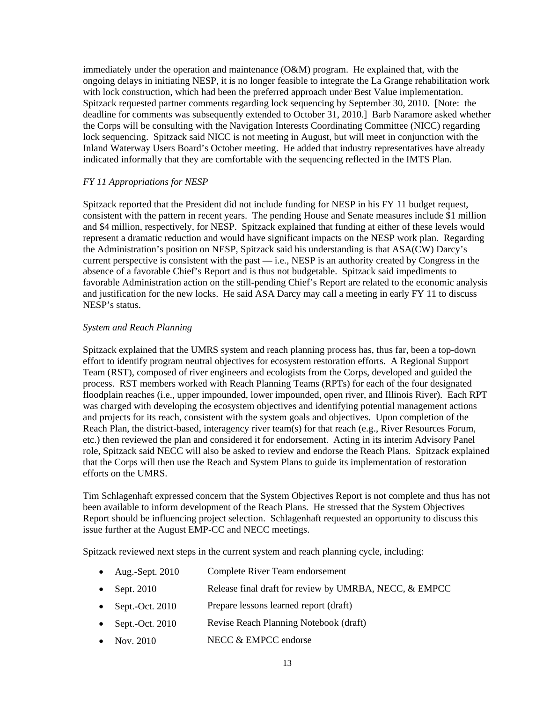immediately under the operation and maintenance  $(O\&M)$  program. He explained that, with the ongoing delays in initiating NESP, it is no longer feasible to integrate the La Grange rehabilitation work with lock construction, which had been the preferred approach under Best Value implementation. Spitzack requested partner comments regarding lock sequencing by September 30, 2010. [Note: the deadline for comments was subsequently extended to October 31, 2010.] Barb Naramore asked whether the Corps will be consulting with the Navigation Interests Coordinating Committee (NICC) regarding lock sequencing. Spitzack said NICC is not meeting in August, but will meet in conjunction with the Inland Waterway Users Board's October meeting. He added that industry representatives have already indicated informally that they are comfortable with the sequencing reflected in the IMTS Plan.

### *FY 11 Appropriations for NESP*

Spitzack reported that the President did not include funding for NESP in his FY 11 budget request, consistent with the pattern in recent years. The pending House and Senate measures include \$1 million and \$4 million, respectively, for NESP. Spitzack explained that funding at either of these levels would represent a dramatic reduction and would have significant impacts on the NESP work plan. Regarding the Administration's position on NESP, Spitzack said his understanding is that ASA(CW) Darcy's current perspective is consistent with the past — i.e., NESP is an authority created by Congress in the absence of a favorable Chief's Report and is thus not budgetable. Spitzack said impediments to favorable Administration action on the still-pending Chief's Report are related to the economic analysis and justification for the new locks. He said ASA Darcy may call a meeting in early FY 11 to discuss NESP's status.

### *System and Reach Planning*

Spitzack explained that the UMRS system and reach planning process has, thus far, been a top-down effort to identify program neutral objectives for ecosystem restoration efforts. A Regional Support Team (RST), composed of river engineers and ecologists from the Corps, developed and guided the process. RST members worked with Reach Planning Teams (RPTs) for each of the four designated floodplain reaches (i.e., upper impounded, lower impounded, open river, and Illinois River). Each RPT was charged with developing the ecosystem objectives and identifying potential management actions and projects for its reach, consistent with the system goals and objectives. Upon completion of the Reach Plan, the district-based, interagency river team(s) for that reach (e.g., River Resources Forum, etc.) then reviewed the plan and considered it for endorsement. Acting in its interim Advisory Panel role, Spitzack said NECC will also be asked to review and endorse the Reach Plans. Spitzack explained that the Corps will then use the Reach and System Plans to guide its implementation of restoration efforts on the UMRS.

Tim Schlagenhaft expressed concern that the System Objectives Report is not complete and thus has not been available to inform development of the Reach Plans. He stressed that the System Objectives Report should be influencing project selection. Schlagenhaft requested an opportunity to discuss this issue further at the August EMP-CC and NECC meetings.

Spitzack reviewed next steps in the current system and reach planning cycle, including:

- Aug.-Sept. 2010 Complete River Team endorsement
- Sept. 2010 Release final draft for review by UMRBA, NECC, & EMPCC
- Sept.-Oct. 2010 Prepare lessons learned report (draft)
- Sept.-Oct. 2010 Revise Reach Planning Notebook (draft)
- Nov. 2010 NECC & EMPCC endorse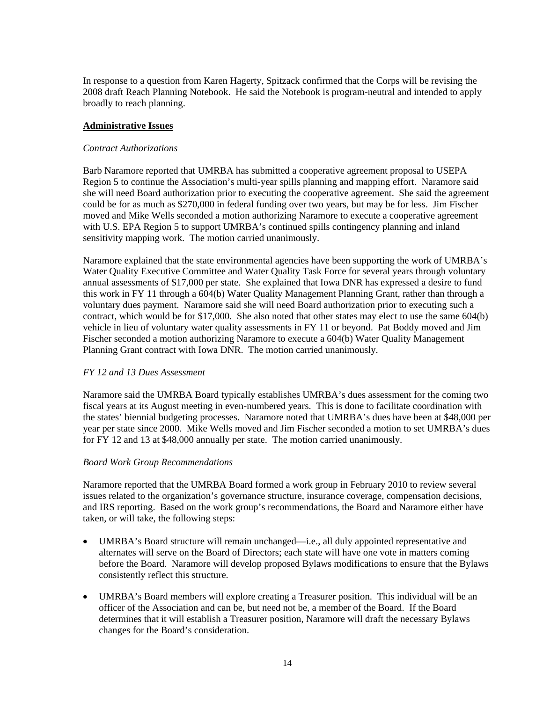In response to a question from Karen Hagerty, Spitzack confirmed that the Corps will be revising the 2008 draft Reach Planning Notebook. He said the Notebook is program-neutral and intended to apply broadly to reach planning.

## **Administrative Issues**

## *Contract Authorizations*

Barb Naramore reported that UMRBA has submitted a cooperative agreement proposal to USEPA Region 5 to continue the Association's multi-year spills planning and mapping effort. Naramore said she will need Board authorization prior to executing the cooperative agreement. She said the agreement could be for as much as \$270,000 in federal funding over two years, but may be for less. Jim Fischer moved and Mike Wells seconded a motion authorizing Naramore to execute a cooperative agreement with U.S. EPA Region 5 to support UMRBA's continued spills contingency planning and inland sensitivity mapping work. The motion carried unanimously.

Naramore explained that the state environmental agencies have been supporting the work of UMRBA's Water Quality Executive Committee and Water Quality Task Force for several years through voluntary annual assessments of \$17,000 per state. She explained that Iowa DNR has expressed a desire to fund this work in FY 11 through a 604(b) Water Quality Management Planning Grant, rather than through a voluntary dues payment. Naramore said she will need Board authorization prior to executing such a contract, which would be for \$17,000. She also noted that other states may elect to use the same 604(b) vehicle in lieu of voluntary water quality assessments in FY 11 or beyond. Pat Boddy moved and Jim Fischer seconded a motion authorizing Naramore to execute a 604(b) Water Quality Management Planning Grant contract with Iowa DNR. The motion carried unanimously.

### *FY 12 and 13 Dues Assessment*

Naramore said the UMRBA Board typically establishes UMRBA's dues assessment for the coming two fiscal years at its August meeting in even-numbered years. This is done to facilitate coordination with the states' biennial budgeting processes. Naramore noted that UMRBA's dues have been at \$48,000 per year per state since 2000. Mike Wells moved and Jim Fischer seconded a motion to set UMRBA's dues for FY 12 and 13 at \$48,000 annually per state. The motion carried unanimously.

### *Board Work Group Recommendations*

Naramore reported that the UMRBA Board formed a work group in February 2010 to review several issues related to the organization's governance structure, insurance coverage, compensation decisions, and IRS reporting. Based on the work group's recommendations, the Board and Naramore either have taken, or will take, the following steps:

- UMRBA's Board structure will remain unchanged—i.e., all duly appointed representative and alternates will serve on the Board of Directors; each state will have one vote in matters coming before the Board. Naramore will develop proposed Bylaws modifications to ensure that the Bylaws consistently reflect this structure.
- UMRBA's Board members will explore creating a Treasurer position. This individual will be an officer of the Association and can be, but need not be, a member of the Board. If the Board determines that it will establish a Treasurer position, Naramore will draft the necessary Bylaws changes for the Board's consideration.